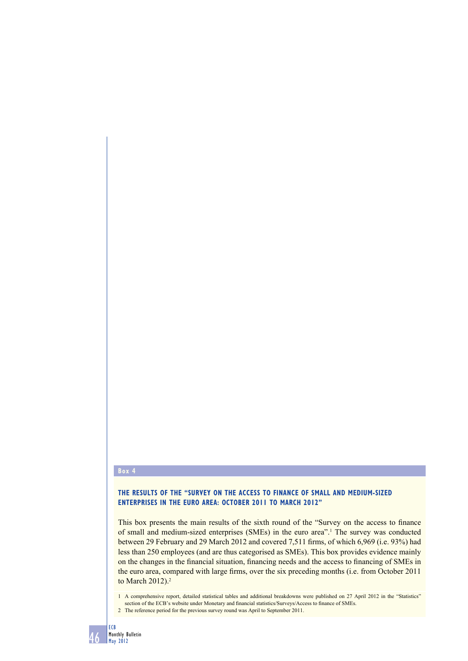## **Box 4**

# **THE RESULTS OF THE "SURVEY ON THE ACCESS TO FINANCE OF SMALL AND MEDIUM-SIZED ENTERPRISES IN THE EURO AREA: OCTOBER 2011 TO MARCH 2012"**

This box presents the main results of the sixth round of the "Survey on the access to finance" of small and medium-sized enterprises (SMEs) in the euro area<sup>"1</sup>. The survey was conducted between 29 February and 29 March 2012 and covered 7,511 firms, of which 6,969 (i.e. 93%) had less than 250 employees (and are thus categorised as SMEs). This box provides evidence mainly on the changes in the financial situation, financing needs and the access to financing of SMEs in the euro area, compared with large firms, over the six preceding months (i.e. from October 2011 to March 2012).<sup>2</sup>

1 A comprehensive report, detailed statistical tables and additional breakdowns were published on 27 April 2012 in the "Statistics" section of the ECB's website under Monetary and financial statistics/Surveys/Access to finance of SMEs.

2 The reference period for the previous survey round was April to September 2011.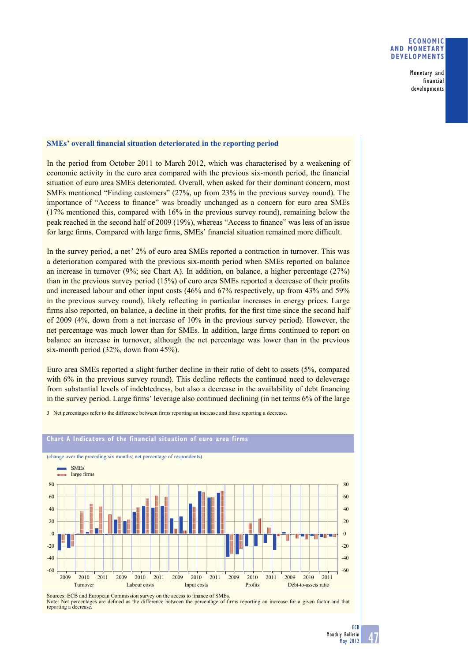## **ECONOMIC AND MONETARY DEVELOPMENTS**

Monetary and financial developments

## **SMEs'** overall financial situation deteriorated in the reporting period

In the period from October 2011 to March 2012, which was characterised by a weakening of economic activity in the euro area compared with the previous six-month period, the financial situation of euro area SMEs deteriorated. Overall, when asked for their dominant concern, most SMEs mentioned "Finding customers" (27%, up from 23% in the previous survey round). The importance of "Access to finance" was broadly unchanged as a concern for euro area SMEs (17% mentioned this, compared with 16% in the previous survey round), remaining below the peak reached in the second half of 2009 (19%), whereas "Access to finance" was less of an issue for large firms. Compared with large firms, SMEs' financial situation remained more difficult.

In the survey period, a net<sup>3</sup> 2% of euro area SMEs reported a contraction in turnover. This was a deterioration compared with the previous six-month period when SMEs reported on balance an increase in turnover (9%; see Chart A). In addition, on balance, a higher percentage (27%) than in the previous survey period  $(15%)$  of euro area SMEs reported a decrease of their profits and increased labour and other input costs (46% and 67% respectively, up from 43% and 59% in the previous survey round), likely reflecting in particular increases in energy prices. Large firms also reported, on balance, a decline in their profits, for the first time since the second half of 2009 (4%, down from a net increase of 10% in the previous survey period). However, the net percentage was much lower than for SMEs. In addition, large firms continued to report on balance an increase in turnover, although the net percentage was lower than in the previous six-month period (32%, down from 45%).

Euro area SMEs reported a slight further decline in their ratio of debt to assets (5%, compared with  $6\%$  in the previous survey round). This decline reflects the continued need to deleverage from substantial levels of indebtedness, but also a decrease in the availability of debt financing in the survey period. Large firms' leverage also continued declining (in net terms 6% of the large

3 Net percentages refer to the difference between firms reporting an increase and those reporting a decrease.



#### **Chart A Indicators of the financial situation of euro area firms**

Sources: ECB and European Commission survey on the access to finance of SMEs Note: Net percentages are defined as the difference between the percentage of firms reporting an increase for a given factor and that reporting a decrease.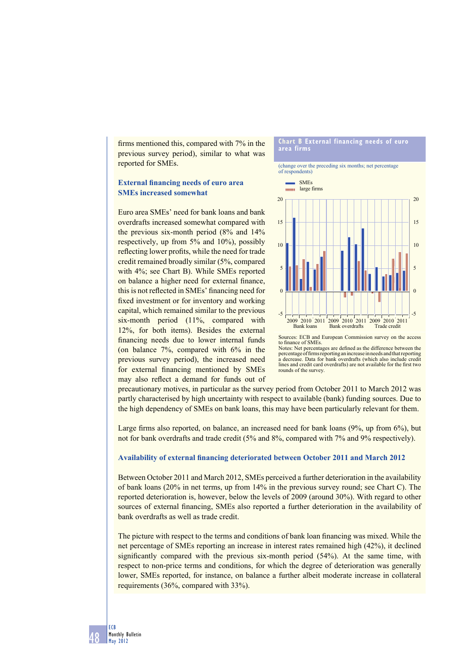firms mentioned this, compared with  $7\%$  in the previous survey period), similar to what was reported for SMEs.

## **External financing needs of euro area SMEs increased somewhat**

Euro area SMEs' need for bank loans and bank overdrafts increased somewhat compared with the previous six-month period (8% and 14% respectively, up from 5% and 10%), possibly reflecting lower profits, while the need for trade credit remained broadly similar (5%, compared with 4%; see Chart B). While SMEs reported on balance a higher need for external finance, this is not reflected in SMEs' financing need for fixed investment or for inventory and working capital, which remained similar to the previous six-month period (11%, compared with 12%, for both items). Besides the external financing needs due to lower internal funds (on balance 7%, compared with 6% in the previous survey period), the increased need for external financing mentioned by SMEs may also reflect a demand for funds out of

#### **Chart B External financing needs of euro area firms**

(change over the preceding six months; net percentage of respondents)



Sources: ECB and European Commission survey on the access to finance of SMFs. Notes: Net percentages are defined as the difference between the percentage of firms reporting an increase in needs and that reporting<br>a decrease. Data for bank overdrafts (which also include credit lines and credit card overdrafts) are not available for the first two rounds of the survey.

precautionary motives, in particular as the survey period from October 2011 to March 2012 was partly characterised by high uncertainty with respect to available (bank) funding sources. Due to the high dependency of SMEs on bank loans, this may have been particularly relevant for them.

Large firms also reported, on balance, an increased need for bank loans  $(9\%$ , up from  $6\%)$ , but not for bank overdrafts and trade credit (5% and 8%, compared with 7% and 9% respectively).

### **Availability of external financing deteriorated between October 2011 and March 2012**

Between October 2011 and March 2012, SMEs perceived a further deterioration in the availability of bank loans (20% in net terms, up from 14% in the previous survey round; see Chart C). The reported deterioration is, however, below the levels of 2009 (around 30%). With regard to other sources of external financing, SMEs also reported a further deterioration in the availability of bank overdrafts as well as trade credit.

The picture with respect to the terms and conditions of bank loan financing was mixed. While the net percentage of SMEs reporting an increase in interest rates remained high (42%), it declined significantly compared with the previous six-month period (54%). At the same time, with respect to non-price terms and conditions, for which the degree of deterioration was generally lower, SMEs reported, for instance, on balance a further albeit moderate increase in collateral requirements (36%, compared with 33%).

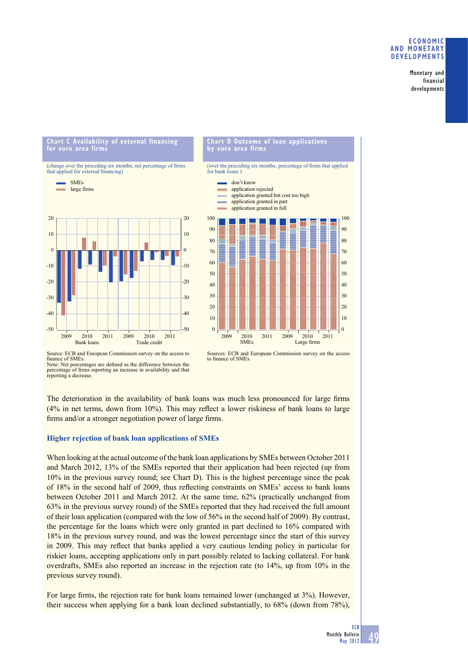## **ECONOMIC AND MONETARY DEVELOPMENTS**

Monetary and financial developments

### **Chart C Availability of external financing for euro area firms**



### **Chart D Outcome of loan applications by euro area firms**

(over the preceding six months; percentage of firms that applied for bank loans )



Source: ECB and European Commission survey on the access to finance of SME<sub>s</sub>. Note: Net percentages are defined as the difference between the percentage of firms reporting an increase in availability and that reporting a decrease.



The deterioration in the availability of bank loans was much less pronounced for large firms  $(4\%$  in net terms, down from  $10\%$ ). This may reflect a lower riskiness of bank loans to large firms and/or a stronger negotiation power of large firms.

# **Higher rejection of bank loan applications of SMEs**

When looking at the actual outcome of the bank loan applications by SMEs between October 2011 and March 2012, 13% of the SMEs reported that their application had been rejected (up from 10% in the previous survey round; see Chart D). This is the highest percentage since the peak of 18% in the second half of 2009, thus reflecting constraints on SMEs' access to bank loans between October 2011 and March 2012. At the same time, 62% (practically unchanged from 63% in the previous survey round) of the SMEs reported that they had received the full amount of their loan application (compared with the low of 56% in the second half of 2009). By contrast, the percentage for the loans which were only granted in part declined to 16% compared with 18% in the previous survey round, and was the lowest percentage since the start of this survey in 2009. This may reflect that banks applied a very cautious lending policy in particular for riskier loans, accepting applications only in part possibly related to lacking collateral. For bank overdrafts, SMEs also reported an increase in the rejection rate (to 14%, up from 10% in the previous survey round).

For large firms, the rejection rate for bank loans remained lower (unchanged at 3%). However, their success when applying for a bank loan declined substantially, to 68% (down from 78%),